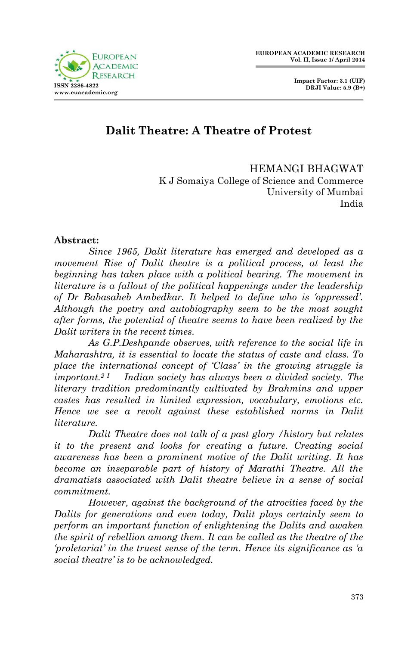

## **Dalit Theatre: A Theatre of Protest**

HEMANGI BHAGWAT K J Somaiya College of Science and Commerce University of Mumbai India

## **Abstract:**

*Since 1965, Dalit literature has emerged and developed as a movement Rise of Dalit theatre is a political process, at least the beginning has taken place with a political bearing. The movement in literature is a fallout of the political happenings under the leadership of Dr Babasaheb Ambedkar. It helped to define who is 'oppressed'. Although the poetry and autobiography seem to be the most sought after forms, the potential of theatre seems to have been realized by the Dalit writers in the recent times.*

*As G.P.Deshpande observes, with reference to the social life in Maharashtra, it is essential to locate the status of caste and class. To place the international concept of 'Class' in the growing struggle is important.2 I Indian society has always been a divided society. The literary tradition predominantly cultivated by Brahmins and upper castes has resulted in limited expression, vocabulary, emotions etc. Hence we see a revolt against these established norms in Dalit literature.* 

*Dalit Theatre does not talk of a past glory /history but relates it to the present and looks for creating a future. Creating social awareness has been a prominent motive of the Dalit writing. It has become an inseparable part of history of Marathi Theatre. All the dramatists associated with Dalit theatre believe in a sense of social commitment.*

*However, against the background of the atrocities faced by the Dalits for generations and even today, Dalit plays certainly seem to perform an important function of enlightening the Dalits and awaken the spirit of rebellion among them. It can be called as the theatre of the 'proletariat' in the truest sense of the term. Hence its significance as 'a social theatre' is to be acknowledged.*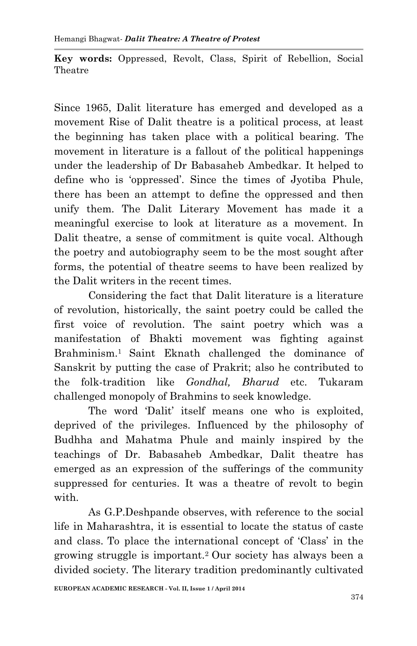**Key words:** Oppressed, Revolt, Class, Spirit of Rebellion, Social Theatre

Since 1965, Dalit literature has emerged and developed as a movement Rise of Dalit theatre is a political process, at least the beginning has taken place with a political bearing. The movement in literature is a fallout of the political happenings under the leadership of Dr Babasaheb Ambedkar. It helped to define who is 'oppressed'. Since the times of Jyotiba Phule, there has been an attempt to define the oppressed and then unify them. The Dalit Literary Movement has made it a meaningful exercise to look at literature as a movement. In Dalit theatre, a sense of commitment is quite vocal. Although the poetry and autobiography seem to be the most sought after forms, the potential of theatre seems to have been realized by the Dalit writers in the recent times.

Considering the fact that Dalit literature is a literature of revolution, historically, the saint poetry could be called the first voice of revolution. The saint poetry which was a manifestation of Bhakti movement was fighting against Brahminism.<sup>1</sup> Saint Eknath challenged the dominance of Sanskrit by putting the case of Prakrit; also he contributed to the folk-tradition like *Gondhal, Bharud* etc. Tukaram challenged monopoly of Brahmins to seek knowledge.

The word 'Dalit' itself means one who is exploited, deprived of the privileges. Influenced by the philosophy of Budhha and Mahatma Phule and mainly inspired by the teachings of Dr. Babasaheb Ambedkar, Dalit theatre has emerged as an expression of the sufferings of the community suppressed for centuries. It was a theatre of revolt to begin with.

As G.P.Deshpande observes, with reference to the social life in Maharashtra, it is essential to locate the status of caste and class. To place the international concept of 'Class' in the growing struggle is important.2 Our society has always been a divided society. The literary tradition predominantly cultivated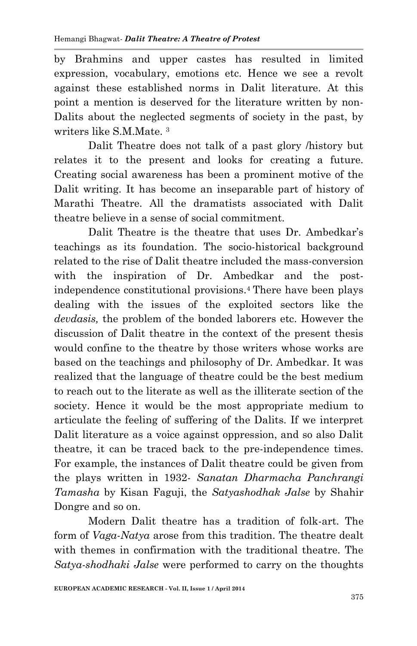by Brahmins and upper castes has resulted in limited expression, vocabulary, emotions etc. Hence we see a revolt against these established norms in Dalit literature. At this point a mention is deserved for the literature written by non-Dalits about the neglected segments of society in the past, by writers like S.M.Mate. <sup>3</sup>

Dalit Theatre does not talk of a past glory /history but relates it to the present and looks for creating a future. Creating social awareness has been a prominent motive of the Dalit writing. It has become an inseparable part of history of Marathi Theatre. All the dramatists associated with Dalit theatre believe in a sense of social commitment.

Dalit Theatre is the theatre that uses Dr. Ambedkar's teachings as its foundation. The socio-historical background related to the rise of Dalit theatre included the mass-conversion with the inspiration of Dr. Ambedkar and the postindependence constitutional provisions.4 There have been plays dealing with the issues of the exploited sectors like the *devdasis,* the problem of the bonded laborers etc. However the discussion of Dalit theatre in the context of the present thesis would confine to the theatre by those writers whose works are based on the teachings and philosophy of Dr. Ambedkar. It was realized that the language of theatre could be the best medium to reach out to the literate as well as the illiterate section of the society. Hence it would be the most appropriate medium to articulate the feeling of suffering of the Dalits. If we interpret Dalit literature as a voice against oppression, and so also Dalit theatre, it can be traced back to the pre-independence times. For example, the instances of Dalit theatre could be given from the plays written in 1932- *Sanatan Dharmacha Panchrangi Tamasha* by Kisan Faguji, the *Satyashodhak Jalse* by Shahir Dongre and so on.

Modern Dalit theatre has a tradition of folk-art. The form of *Vaga-Natya* arose from this tradition. The theatre dealt with themes in confirmation with the traditional theatre. The *Satya-shodhaki Jalse* were performed to carry on the thoughts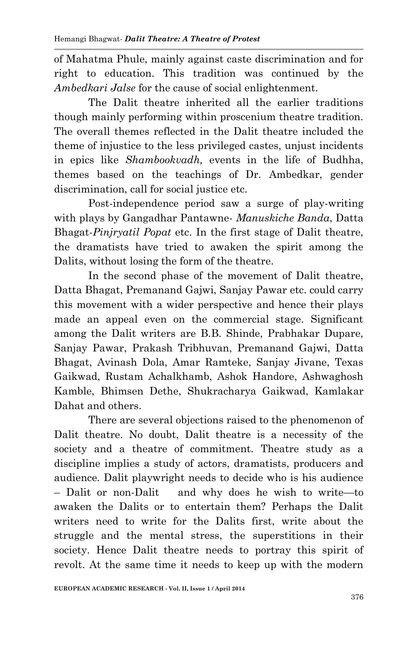of Mahatma Phule, mainly against caste discrimination and for right to education. This tradition was continued by the *Ambedkari Jalse* for the cause of social enlightenment.

The Dalit theatre inherited all the earlier traditions though mainly performing within proscenium theatre tradition. The overall themes reflected in the Dalit theatre included the theme of injustice to the less privileged castes, unjust incidents in epics like *Shambookvadh,* events in the life of Budhha, themes based on the teachings of Dr. Ambedkar, gender discrimination, call for social justice etc.

Post-independence period saw a surge of play-writing with plays by Gangadhar Pantawne- *Manuskiche Banda*, Datta Bhagat-*Pinjryatil Popat* etc. In the first stage of Dalit theatre, the dramatists have tried to awaken the spirit among the Dalits, without losing the form of the theatre.

In the second phase of the movement of Dalit theatre, Datta Bhagat, Premanand Gajwi, Sanjay Pawar etc. could carry this movement with a wider perspective and hence their plays made an appeal even on the commercial stage. Significant among the Dalit writers are B.B. Shinde, Prabhakar Dupare, Sanjay Pawar, Prakash Tribhuvan, Premanand Gajwi, Datta Bhagat, Avinash Dola, Amar Ramteke, Sanjay Jivane, Texas Gaikwad, Rustam Achalkhamb, Ashok Handore, Ashwaghosh Kamble, Bhimsen Dethe, Shukracharya Gaikwad, Kamlakar Dahat and others.

There are several objections raised to the phenomenon of Dalit theatre. No doubt, Dalit theatre is a necessity of the society and a theatre of commitment. Theatre study as a discipline implies a study of actors, dramatists, producers and audience. Dalit playwright needs to decide who is his audience – Dalit or non-Dalit and why does he wish to write—to awaken the Dalits or to entertain them? Perhaps the Dalit writers need to write for the Dalits first, write about the struggle and the mental stress, the superstitions in their society. Hence Dalit theatre needs to portray this spirit of revolt. At the same time it needs to keep up with the modern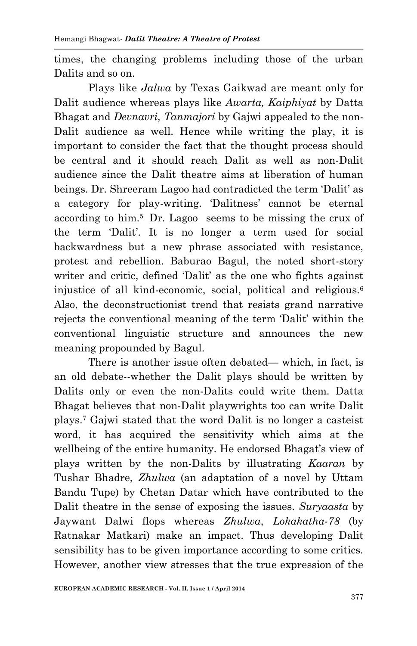times, the changing problems including those of the urban Dalits and so on.

Plays like *Jalwa* by Texas Gaikwad are meant only for Dalit audience whereas plays like *Awarta, Kaiphiyat* by Datta Bhagat and *Devnavri, Tanmajori* by Gajwi appealed to the non-Dalit audience as well. Hence while writing the play, it is important to consider the fact that the thought process should be central and it should reach Dalit as well as non-Dalit audience since the Dalit theatre aims at liberation of human beings. Dr. Shreeram Lagoo had contradicted the term 'Dalit' as a category for play-writing. 'Dalitness' cannot be eternal according to him.5 Dr. Lagoo seems to be missing the crux of the term 'Dalit'. It is no longer a term used for social backwardness but a new phrase associated with resistance, protest and rebellion. Baburao Bagul, the noted short-story writer and critic, defined 'Dalit' as the one who fights against injustice of all kind-economic, social, political and religious.<sup>6</sup> Also, the deconstructionist trend that resists grand narrative rejects the conventional meaning of the term 'Dalit' within the conventional linguistic structure and announces the new meaning propounded by Bagul.

There is another issue often debated— which, in fact, is an old debate--whether the Dalit plays should be written by Dalits only or even the non-Dalits could write them. Datta Bhagat believes that non-Dalit playwrights too can write Dalit plays.<sup>7</sup> Gajwi stated that the word Dalit is no longer a casteist word, it has acquired the sensitivity which aims at the wellbeing of the entire humanity. He endorsed Bhagat's view of plays written by the non-Dalits by illustrating *Kaaran* by Tushar Bhadre, *Zhulwa* (an adaptation of a novel by Uttam Bandu Tupe) by Chetan Datar which have contributed to the Dalit theatre in the sense of exposing the issues. *Suryaasta* by Jaywant Dalwi flops whereas *Zhulwa*, *Lokakatha-78* (by Ratnakar Matkari) make an impact. Thus developing Dalit sensibility has to be given importance according to some critics. However, another view stresses that the true expression of the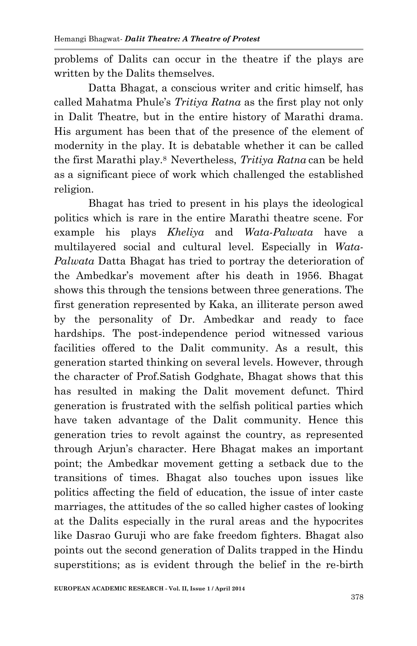problems of Dalits can occur in the theatre if the plays are written by the Dalits themselves.

Datta Bhagat, a conscious writer and critic himself, has called Mahatma Phule's *Tritiya Ratna* as the first play not only in Dalit Theatre, but in the entire history of Marathi drama. His argument has been that of the presence of the element of modernity in the play. It is debatable whether it can be called the first Marathi play.8 Nevertheless, *Tritiya Ratna* can be held as a significant piece of work which challenged the established religion.

Bhagat has tried to present in his plays the ideological politics which is rare in the entire Marathi theatre scene. For example his plays *Kheliya* and *Wata-Palwata* have a multilayered social and cultural level. Especially in *Wata-Palwata* Datta Bhagat has tried to portray the deterioration of the Ambedkar's movement after his death in 1956. Bhagat shows this through the tensions between three generations. The first generation represented by Kaka, an illiterate person awed by the personality of Dr. Ambedkar and ready to face hardships. The post-independence period witnessed various facilities offered to the Dalit community. As a result, this generation started thinking on several levels. However, through the character of Prof.Satish Godghate, Bhagat shows that this has resulted in making the Dalit movement defunct. Third generation is frustrated with the selfish political parties which have taken advantage of the Dalit community. Hence this generation tries to revolt against the country, as represented through Arjun's character. Here Bhagat makes an important point; the Ambedkar movement getting a setback due to the transitions of times. Bhagat also touches upon issues like politics affecting the field of education, the issue of inter caste marriages, the attitudes of the so called higher castes of looking at the Dalits especially in the rural areas and the hypocrites like Dasrao Guruji who are fake freedom fighters. Bhagat also points out the second generation of Dalits trapped in the Hindu superstitions; as is evident through the belief in the re-birth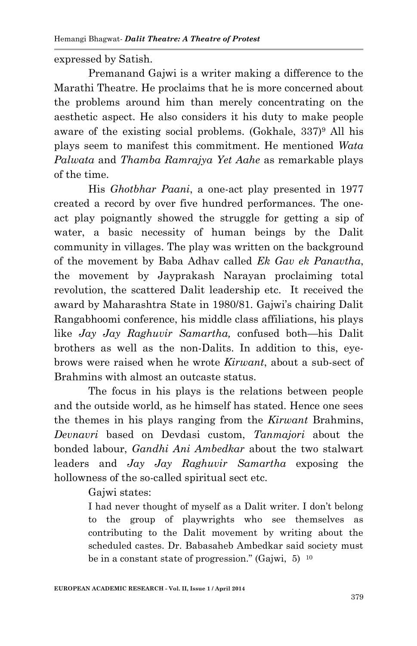expressed by Satish.

Premanand Gajwi is a writer making a difference to the Marathi Theatre. He proclaims that he is more concerned about the problems around him than merely concentrating on the aesthetic aspect. He also considers it his duty to make people aware of the existing social problems. (Gokhale,  $337$ <sup>9</sup> All his plays seem to manifest this commitment. He mentioned *Wata Palwata* and *Thamba Ramrajya Yet Aahe* as remarkable plays of the time.

His *Ghotbhar Paani*, a one-act play presented in 1977 created a record by over five hundred performances. The oneact play poignantly showed the struggle for getting a sip of water, a basic necessity of human beings by the Dalit community in villages. The play was written on the background of the movement by Baba Adhav called *Ek Gav ek Panavtha*, the movement by Jayprakash Narayan proclaiming total revolution, the scattered Dalit leadership etc. It received the award by Maharashtra State in 1980/81. Gajwi's chairing Dalit Rangabhoomi conference, his middle class affiliations, his plays like *Jay Jay Raghuvir Samartha,* confused both—his Dalit brothers as well as the non-Dalits. In addition to this, eyebrows were raised when he wrote *Kirwant*, about a sub-sect of Brahmins with almost an outcaste status.

The focus in his plays is the relations between people and the outside world, as he himself has stated. Hence one sees the themes in his plays ranging from the *Kirwant* Brahmins, *Devnavri* based on Devdasi custom, *Tanmajori* about the bonded labour, *Gandhi Ani Ambedkar* about the two stalwart leaders and *Jay Jay Raghuvir Samartha* exposing the hollowness of the so-called spiritual sect etc.

Gaiwi states:

I had never thought of myself as a Dalit writer. I don't belong to the group of playwrights who see themselves as contributing to the Dalit movement by writing about the scheduled castes. Dr. Babasaheb Ambedkar said society must be in a constant state of progression." (Gajwi,  $5^{10}$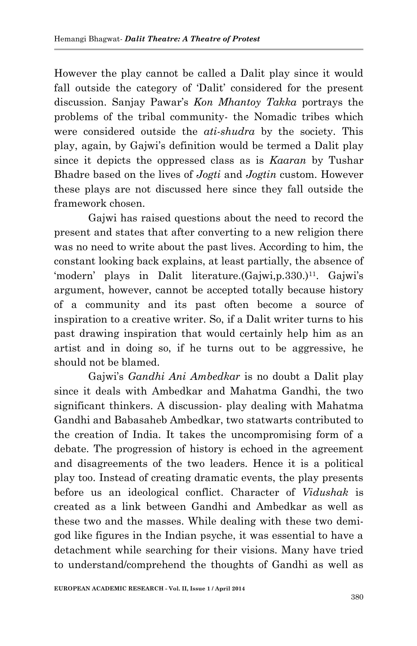However the play cannot be called a Dalit play since it would fall outside the category of 'Dalit' considered for the present discussion. Sanjay Pawar's *Kon Mhantoy Takka* portrays the problems of the tribal community- the Nomadic tribes which were considered outside the *ati-shudra* by the society. This play, again, by Gajwi's definition would be termed a Dalit play since it depicts the oppressed class as is *Kaaran* by Tushar Bhadre based on the lives of *Jogti* and *Jogtin* custom. However these plays are not discussed here since they fall outside the framework chosen.

Gajwi has raised questions about the need to record the present and states that after converting to a new religion there was no need to write about the past lives. According to him, the constant looking back explains, at least partially, the absence of 'modern' plays in Dalit literature.(Gajwi,p.330.)<sup>11</sup>. Gajwi's argument, however, cannot be accepted totally because history of a community and its past often become a source of inspiration to a creative writer. So, if a Dalit writer turns to his past drawing inspiration that would certainly help him as an artist and in doing so, if he turns out to be aggressive, he should not be blamed.

Gajwi's *Gandhi Ani Ambedkar* is no doubt a Dalit play since it deals with Ambedkar and Mahatma Gandhi, the two significant thinkers. A discussion- play dealing with Mahatma Gandhi and Babasaheb Ambedkar, two statwarts contributed to the creation of India. It takes the uncompromising form of a debate. The progression of history is echoed in the agreement and disagreements of the two leaders. Hence it is a political play too. Instead of creating dramatic events, the play presents before us an ideological conflict. Character of *Vidushak* is created as a link between Gandhi and Ambedkar as well as these two and the masses. While dealing with these two demigod like figures in the Indian psyche, it was essential to have a detachment while searching for their visions. Many have tried to understand/comprehend the thoughts of Gandhi as well as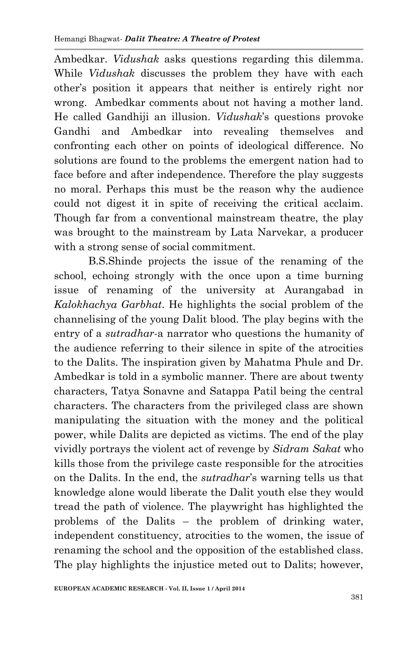Ambedkar. *Vidushak* asks questions regarding this dilemma. While *Vidushak* discusses the problem they have with each other's position it appears that neither is entirely right nor wrong. Ambedkar comments about not having a mother land. He called Gandhiji an illusion. *Vidushak*'s questions provoke Gandhi and Ambedkar into revealing themselves and confronting each other on points of ideological difference. No solutions are found to the problems the emergent nation had to face before and after independence. Therefore the play suggests no moral. Perhaps this must be the reason why the audience could not digest it in spite of receiving the critical acclaim. Though far from a conventional mainstream theatre, the play was brought to the mainstream by Lata Narvekar, a producer with a strong sense of social commitment.

B.S.Shinde projects the issue of the renaming of the school, echoing strongly with the once upon a time burning issue of renaming of the university at Aurangabad in *Kalokhachya Garbhat*. He highlights the social problem of the channelising of the young Dalit blood. The play begins with the entry of a *sutradhar*-a narrator who questions the humanity of the audience referring to their silence in spite of the atrocities to the Dalits. The inspiration given by Mahatma Phule and Dr. Ambedkar is told in a symbolic manner. There are about twenty characters, Tatya Sonavne and Satappa Patil being the central characters. The characters from the privileged class are shown manipulating the situation with the money and the political power, while Dalits are depicted as victims. The end of the play vividly portrays the violent act of revenge by *Sidram Sakat* who kills those from the privilege caste responsible for the atrocities on the Dalits. In the end, the *sutradhar*'s warning tells us that knowledge alone would liberate the Dalit youth else they would tread the path of violence. The playwright has highlighted the problems of the Dalits – the problem of drinking water, independent constituency, atrocities to the women, the issue of renaming the school and the opposition of the established class. The play highlights the injustice meted out to Dalits; however,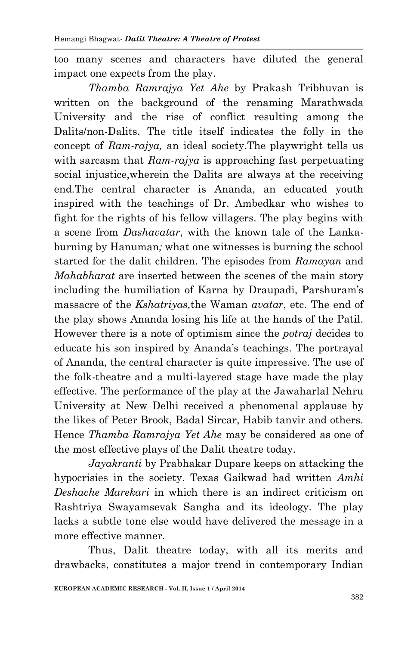too many scenes and characters have diluted the general impact one expects from the play.

*Thamba Ramrajya Yet Ahe* by Prakash Tribhuvan is written on the background of the renaming Marathwada University and the rise of conflict resulting among the Dalits/non-Dalits. The title itself indicates the folly in the concept of *Ram-rajya,* an ideal society.The playwright tells us with sarcasm that *Ram-rajya* is approaching fast perpetuating social injustice,wherein the Dalits are always at the receiving end.The central character is Ananda, an educated youth inspired with the teachings of Dr. Ambedkar who wishes to fight for the rights of his fellow villagers. The play begins with a scene from *Dashavatar*, with the known tale of the Lankaburning by Hanuman*;* what one witnesses is burning the school started for the dalit children. The episodes from *Ramayan* and *Mahabharat* are inserted between the scenes of the main story including the humiliation of Karna by Draupadi, Parshuram's massacre of the *Kshatriyas,*the Waman *avatar*, etc. The end of the play shows Ananda losing his life at the hands of the Patil*.* However there is a note of optimism since the *potraj* decides to educate his son inspired by Ananda's teachings. The portrayal of Ananda, the central character is quite impressive. The use of the folk-theatre and a multi-layered stage have made the play effective. The performance of the play at the Jawaharlal Nehru University at New Delhi received a phenomenal applause by the likes of Peter Brook, Badal Sircar, Habib tanvir and others. Hence *Thamba Ramrajya Yet Ahe* may be considered as one of the most effective plays of the Dalit theatre today.

*Jayakranti* by Prabhakar Dupare keeps on attacking the hypocrisies in the society. Texas Gaikwad had written *Amhi Deshache Marekari* in which there is an indirect criticism on Rashtriya Swayamsevak Sangha and its ideology. The play lacks a subtle tone else would have delivered the message in a more effective manner.

Thus, Dalit theatre today, with all its merits and drawbacks, constitutes a major trend in contemporary Indian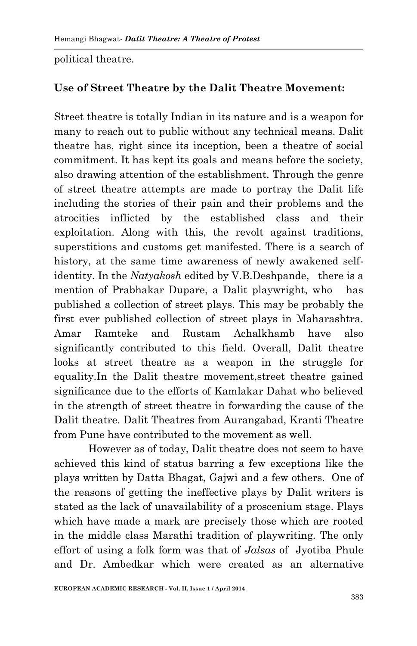political theatre.

## **Use of Street Theatre by the Dalit Theatre Movement:**

Street theatre is totally Indian in its nature and is a weapon for many to reach out to public without any technical means. Dalit theatre has, right since its inception, been a theatre of social commitment. It has kept its goals and means before the society, also drawing attention of the establishment. Through the genre of street theatre attempts are made to portray the Dalit life including the stories of their pain and their problems and the atrocities inflicted by the established class and their exploitation. Along with this, the revolt against traditions, superstitions and customs get manifested. There is a search of history, at the same time awareness of newly awakened selfidentity. In the *Natyakosh* edited by V.B.Deshpande, there is a mention of Prabhakar Dupare, a Dalit playwright, who has published a collection of street plays. This may be probably the first ever published collection of street plays in Maharashtra. Amar Ramteke and Rustam Achalkhamb have also significantly contributed to this field. Overall, Dalit theatre looks at street theatre as a weapon in the struggle for equality.In the Dalit theatre movement,street theatre gained significance due to the efforts of Kamlakar Dahat who believed in the strength of street theatre in forwarding the cause of the Dalit theatre. Dalit Theatres from Aurangabad, Kranti Theatre from Pune have contributed to the movement as well.

However as of today, Dalit theatre does not seem to have achieved this kind of status barring a few exceptions like the plays written by Datta Bhagat, Gajwi and a few others. One of the reasons of getting the ineffective plays by Dalit writers is stated as the lack of unavailability of a proscenium stage. Plays which have made a mark are precisely those which are rooted in the middle class Marathi tradition of playwriting. The only effort of using a folk form was that of *Jalsas* of Jyotiba Phule and Dr. Ambedkar which were created as an alternative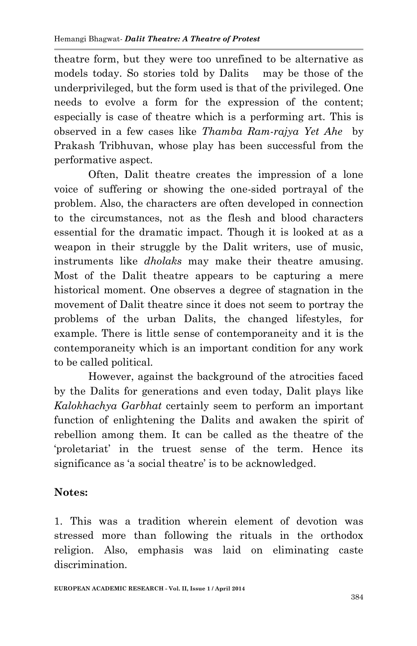theatre form, but they were too unrefined to be alternative as models today. So stories told by Dalits may be those of the underprivileged, but the form used is that of the privileged. One needs to evolve a form for the expression of the content; especially is case of theatre which is a performing art. This is observed in a few cases like *Thamba Ram-rajya Yet Ahe* by Prakash Tribhuvan, whose play has been successful from the performative aspect.

Often, Dalit theatre creates the impression of a lone voice of suffering or showing the one-sided portrayal of the problem. Also, the characters are often developed in connection to the circumstances, not as the flesh and blood characters essential for the dramatic impact. Though it is looked at as a weapon in their struggle by the Dalit writers, use of music, instruments like *dholaks* may make their theatre amusing. Most of the Dalit theatre appears to be capturing a mere historical moment. One observes a degree of stagnation in the movement of Dalit theatre since it does not seem to portray the problems of the urban Dalits, the changed lifestyles, for example. There is little sense of contemporaneity and it is the contemporaneity which is an important condition for any work to be called political.

However, against the background of the atrocities faced by the Dalits for generations and even today, Dalit plays like *Kalokhachya Garbhat* certainly seem to perform an important function of enlightening the Dalits and awaken the spirit of rebellion among them. It can be called as the theatre of the 'proletariat' in the truest sense of the term. Hence its significance as 'a social theatre' is to be acknowledged.

## **Notes:**

1. This was a tradition wherein element of devotion was stressed more than following the rituals in the orthodox religion. Also, emphasis was laid on eliminating caste discrimination.